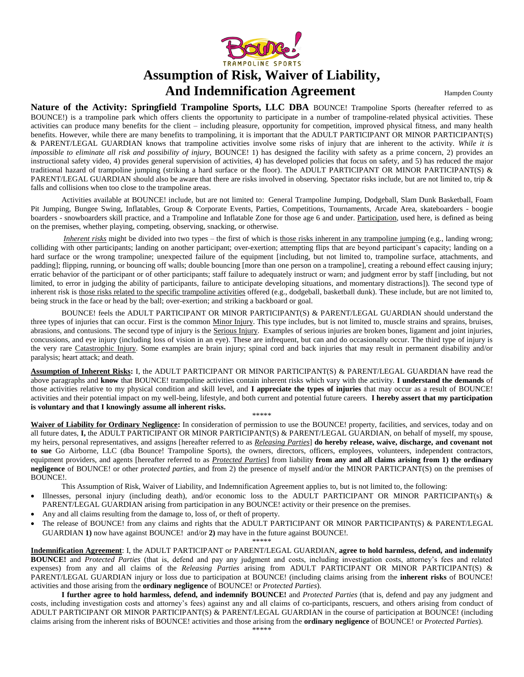

## **Assumption of Risk, Waiver of Liability, And Indemnification Agreement Hampden County**

**Nature of the Activity: Springfield Trampoline Sports, LLC DBA** BOUNCE! Trampoline Sports (hereafter referred to as BOUNCE!) is a trampoline park which offers clients the opportunity to participate in a number of trampoline-related physical activities. These activities can produce many benefits for the client – including pleasure, opportunity for competition, improved physical fitness, and many health benefits. However, while there are many benefits to trampolining, it is important that the ADULT PARTICIPANT OR MINOR PARTICIPANT(S) & PARENT/LEGAL GUARDIAN knows that trampoline activities involve some risks of injury that are inherent to the activity. *While it is impossible to eliminate all risk and possibility of injury*, BOUNCE! 1) has designed the facility with safety as a prime concern, 2) provides an instructional safety video, 4) provides general supervision of activities, 4) has developed policies that focus on safety, and 5) has reduced the major traditional hazard of trampoline jumping (striking a hard surface or the floor). The ADULT PARTICIPANT OR MINOR PARTICIPANT(S) & PARENT/LEGAL GUARDIAN should also be aware that there are risks involved in observing. Spectator risks include, but are not limited to, trip & falls and collisions when too close to the trampoline areas.

Activities available at BOUNCE! include, but are not limited to: General Trampoline Jumping, Dodgeball, Slam Dunk Basketball, Foam Pit Jumping, Bungee Swing, Inflatables, Group & Corporate Events, Parties, Competitions, Tournaments, Arcade Area, skateboarders - boogie boarders - snowboarders skill practice, and a Trampoline and Inflatable Zone for those age 6 and under. Participation, used here, is defined as being on the premises, whether playing, competing, observing, snacking, or otherwise.

*Inherent risks* might be divided into two types – the first of which is those risks inherent in any trampoline jumping (e.g., landing wrong; colliding with other participants; landing on another participant; over-exertion; attempting flips that are beyond participant's capacity; landing on a hard surface or the wrong trampoline; unexpected failure of the equipment [including, but not limited to, trampoline surface, attachments, and padding]; flipping, running, or bouncing off walls; double bouncing [more than one person on a trampoline], creating a rebound effect causing injury; erratic behavior of the participant or of other participants; staff failure to adequately instruct or warn; and judgment error by staff [including, but not limited, to error in judging the ability of participants, failure to anticipate developing situations, and momentary distractions]). The second type of inherent risk is those risks related to the specific trampoline activities offered (e.g., dodgeball, basketball dunk). These include, but are not limited to, being struck in the face or head by the ball; over-exertion; and striking a backboard or goal.

BOUNCE! feels the ADULT PARTICIPANT OR MINOR PARTICIPANT(S) & PARENT/LEGAL GUARDIAN should understand the three types of injuries that can occur. First is the common Minor Injury. This type includes, but is not limited to, muscle strains and sprains, bruises, abrasions, and contusions. The second type of injury is the Serious Injury. Examples of serious injuries are broken bones, ligament and joint injuries, concussions, and eye injury (including loss of vision in an eye). These are infrequent, but can and do occasionally occur. The third type of injury is the very rare Catastrophic Injury. Some examples are brain injury; spinal cord and back injuries that may result in permanent disability and/or paralysis; heart attack; and death.

**Assumption of Inherent Risks:** I, the ADULT PARTICIPANT OR MINOR PARTICIPANT(S) & PARENT/LEGAL GUARDIAN have read the above paragraphs and **know** that BOUNCE! trampoline activities contain inherent risks which vary with the activity. **I understand the demands** of those activities relative to my physical condition and skill level, and **I appreciate the types of injuries** that may occur as a result of BOUNCE! activities and their potential impact on my well-being, lifestyle, and both current and potential future careers. **I hereby assert that my participation is voluntary and that I knowingly assume all inherent risks.** 

\*\*\*\*\*

Waiver of Liability for Ordinary Negligence: In consideration of permission to use the BOUNCE! property, facilities, and services, today and on all future dates, **I,** the ADULT PARTICIPANT OR MINOR PARTICIPANT(S) & PARENT/LEGAL GUARDIAN, on behalf of myself, my spouse, my heirs, personal representatives, and assigns [hereafter referred to as *Releasing Parties*] **do hereby release, waive, discharge, and covenant not to sue** Go Airborne, LLC (dba Bounce! Trampoline Sports), the owners, directors, officers, employees, volunteers, independent contractors, equipment providers, and agents [hereafter referred to as *Protected Parties*] from liability **from any and all claims arising from 1) the ordinary negligence** of BOUNCE! or other *protected parties,* and from 2) the presence of myself and/or the MINOR PARTICPANT(S) on the premises of BOUNCE!.

This Assumption of Risk, Waiver of Liability, and Indemnification Agreement applies to, but is not limited to, the following:

- Illnesses, personal injury (including death), and/or economic loss to the ADULT PARTICIPANT OR MINOR PARTICIPANT(s)  $\&$ PARENT/LEGAL GUARDIAN arising from participation in any BOUNCE! activity or their presence on the premises.
- Any and all claims resulting from the damage to, loss of, or theft of property.
- The release of BOUNCE! from any claims and rights that the ADULT PARTICIPANT OR MINOR PARTICIPANT(S) & PARENT/LEGAL GUARDIAN **1)** now have against BOUNCE! and/or **2)** may have in the future against BOUNCE!.

\*\*\*\*\*

**Indemnification Agreement**: I, the ADULT PARTICIPANT or PARENT/LEGAL GUARDIAN, **agree to hold harmless, defend, and indemnify BOUNCE!** and *Protected Parties* (that is, defend and pay any judgment and costs, including investigation costs, attorney's fees and related expenses) from any and all claims of the *Releasing Parties* arising from ADULT PARTICIPANT OR MINOR PARTICIPANT(S) & PARENT/LEGAL GUARDIAN injury or loss due to participation at BOUNCE! (including claims arising from the **inherent risks** of BOUNCE! activities and those arising from the **ordinary negligence** of BOUNCE! or *Protected Parties*).

**I further agree to hold harmless, defend, and indemnify BOUNCE!** and *Protected Parties* (that is, defend and pay any judgment and costs, including investigation costs and attorney's fees) against any and all claims of co-participants, rescuers, and others arising from conduct of ADULT PARTICIPANT OR MINOR PARTICIPANT(S) & PARENT/LEGAL GUARDIAN in the course of participation at BOUNCE! (including claims arising from the inherent risks of BOUNCE! activities and those arising from the **ordinary negligence** of BOUNCE! or *Protected Parties*).